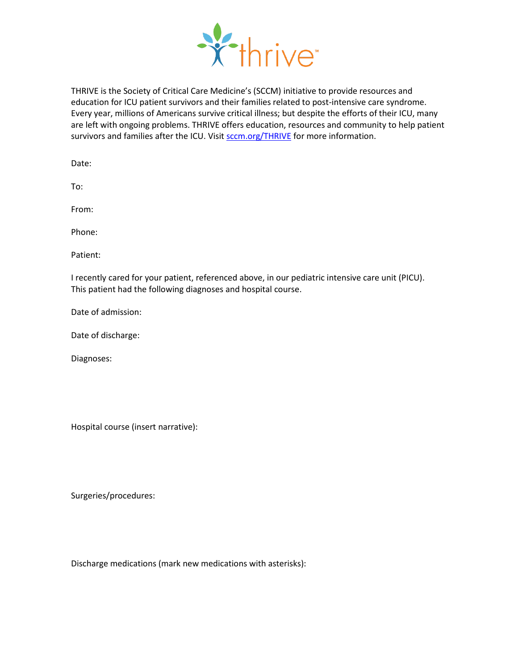

THRIVE is the Society of Critical Care Medicine's (SCCM) initiative to provide resources and education for ICU patient survivors and their families related to post-intensive care syndrome. Every year, millions of Americans survive critical illness; but despite the efforts of their ICU, many are left with ongoing problems. THRIVE offers education, resources and community to help patient survivors and families after the ICU. Visi[t sccm.org/THRIVE](https://sccm.org/thrive) for more information.

Date:

To:

From:

Phone:

Patient:

I recently cared for your patient, referenced above, in our pediatric intensive care unit (PICU). This patient had the following diagnoses and hospital course.

Date of admission:

Date of discharge:

Diagnoses:

Hospital course (insert narrative):

Surgeries/procedures:

Discharge medications (mark new medications with asterisks):